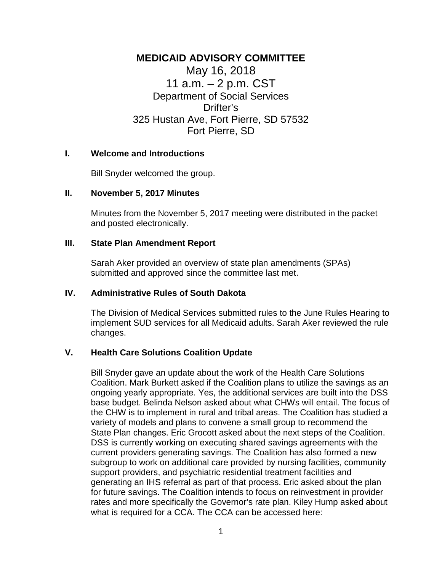# **MEDICAID ADVISORY COMMITTEE**

May 16, 2018 11 a.m. – 2 p.m. CST Department of Social Services Drifter's 325 Hustan Ave, Fort Pierre, SD 57532 Fort Pierre, SD

## **I. Welcome and Introductions**

Bill Snyder welcomed the group.

## **II. November 5, 2017 Minutes**

Minutes from the November 5, 2017 meeting were distributed in the packet and posted electronically.

## **III. State Plan Amendment Report**

Sarah Aker provided an overview of state plan amendments (SPAs) submitted and approved since the committee last met.

# **IV. Administrative Rules of South Dakota**

The Division of Medical Services submitted rules to the June Rules Hearing to implement SUD services for all Medicaid adults. Sarah Aker reviewed the rule changes.

# **V. Health Care Solutions Coalition Update**

Bill Snyder gave an update about the work of the Health Care Solutions Coalition. Mark Burkett asked if the Coalition plans to utilize the savings as an ongoing yearly appropriate. Yes, the additional services are built into the DSS base budget. Belinda Nelson asked about what CHWs will entail. The focus of the CHW is to implement in rural and tribal areas. The Coalition has studied a variety of models and plans to convene a small group to recommend the State Plan changes. Eric Grocott asked about the next steps of the Coalition. DSS is currently working on executing shared savings agreements with the current providers generating savings. The Coalition has also formed a new subgroup to work on additional care provided by nursing facilities, community support providers, and psychiatric residential treatment facilities and generating an IHS referral as part of that process. Eric asked about the plan for future savings. The Coalition intends to focus on reinvestment in provider rates and more specifically the Governor's rate plan. Kiley Hump asked about what is required for a CCA. The CCA can be accessed here: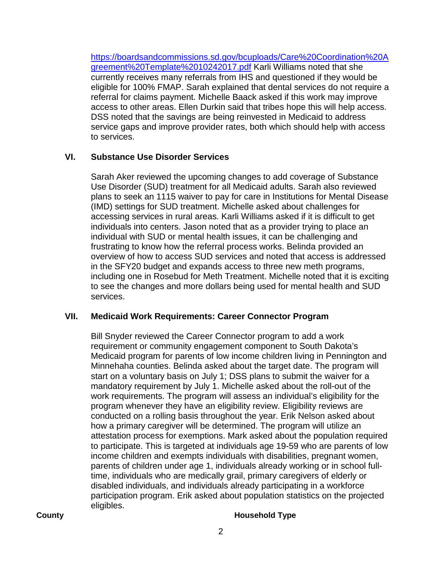[https://boardsandcommissions.sd.gov/bcuploads/Care%20Coordination%20A](https://boardsandcommissions.sd.gov/bcuploads/Care%20Coordination%20Agreement%20Template%2010242017.pdf) [greement%20Template%2010242017.pdf](https://boardsandcommissions.sd.gov/bcuploads/Care%20Coordination%20Agreement%20Template%2010242017.pdf) Karli Williams noted that she currently receives many referrals from IHS and questioned if they would be eligible for 100% FMAP. Sarah explained that dental services do not require a referral for claims payment. Michelle Baack asked if this work may improve access to other areas. Ellen Durkin said that tribes hope this will help access. DSS noted that the savings are being reinvested in Medicaid to address service gaps and improve provider rates, both which should help with access to services.

# **VI. Substance Use Disorder Services**

Sarah Aker reviewed the upcoming changes to add coverage of Substance Use Disorder (SUD) treatment for all Medicaid adults. Sarah also reviewed plans to seek an 1115 waiver to pay for care in Institutions for Mental Disease (IMD) settings for SUD treatment. Michelle asked about challenges for accessing services in rural areas. Karli Williams asked if it is difficult to get individuals into centers. Jason noted that as a provider trying to place an individual with SUD or mental health issues, it can be challenging and frustrating to know how the referral process works. Belinda provided an overview of how to access SUD services and noted that access is addressed in the SFY20 budget and expands access to three new meth programs, including one in Rosebud for Meth Treatment. Michelle noted that it is exciting to see the changes and more dollars being used for mental health and SUD services.

# **VII. Medicaid Work Requirements: Career Connector Program**

Bill Snyder reviewed the Career Connector program to add a work requirement or community engagement component to South Dakota's Medicaid program for parents of low income children living in Pennington and Minnehaha counties. Belinda asked about the target date. The program will start on a voluntary basis on July 1; DSS plans to submit the waiver for a mandatory requirement by July 1. Michelle asked about the roll-out of the work requirements. The program will assess an individual's eligibility for the program whenever they have an eligibility review. Eligibility reviews are conducted on a rolling basis throughout the year. Erik Nelson asked about how a primary caregiver will be determined. The program will utilize an attestation process for exemptions. Mark asked about the population required to participate. This is targeted at individuals age 19-59 who are parents of low income children and exempts individuals with disabilities, pregnant women, parents of children under age 1, individuals already working or in school fulltime, individuals who are medically grail, primary caregivers of elderly or disabled individuals, and individuals already participating in a workforce participation program. Erik asked about population statistics on the projected eligibles.

## **County County County Household Type**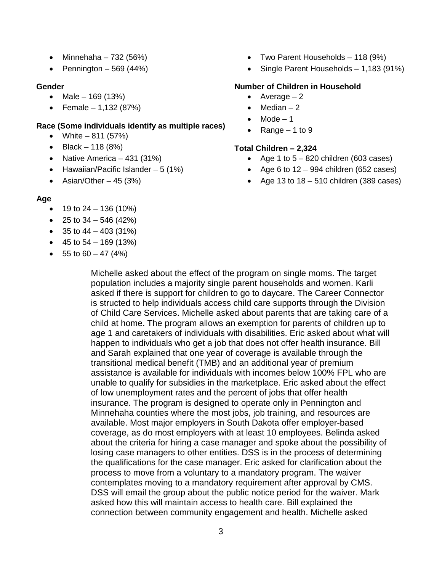- Minnehaha  $732 (56%)$
- Pennington  $-569(44%)$

### **Gender**

- Male 169 (13%)
- Female  $-1,132$  (87%)

## **Race (Some individuals identify as multiple races)**

- White  $-811$  (57%)
- Black 118  $(8%)$
- Native America 431 (31%)
- Hawaiian/Pacific Islander  $-5(1%)$
- Asian/Other  $-45$  (3%)

## **Age**

- 19 to 24 136 (10%)
- 25 to  $34 546 (42%)$
- 35 to  $44 403$  (31%)
- 45 to  $54 169$  (13%)
- $\bullet$  55 to 60 47 (4%)
- Two Parent Households 118 (9%)
- Single Parent Households 1,183 (91%)

## **Number of Children in Household**

- Average  $-2$
- Median  $-2$
- $Mode 1$
- Range  $-1$  to 9

## **Total Children – 2,324**

- Age 1 to  $5 820$  children (603 cases)
- Age 6 to  $12 994$  children (652 cases)
- Age 13 to  $18 510$  children (389 cases)

Michelle asked about the effect of the program on single moms. The target population includes a majority single parent households and women. Karli asked if there is support for children to go to daycare. The Career Connector is structed to help individuals access child care supports through the Division of Child Care Services. Michelle asked about parents that are taking care of a child at home. The program allows an exemption for parents of children up to age 1 and caretakers of individuals with disabilities. Eric asked about what will happen to individuals who get a job that does not offer health insurance. Bill and Sarah explained that one year of coverage is available through the transitional medical benefit (TMB) and an additional year of premium assistance is available for individuals with incomes below 100% FPL who are unable to qualify for subsidies in the marketplace. Eric asked about the effect of low unemployment rates and the percent of jobs that offer health insurance. The program is designed to operate only in Pennington and Minnehaha counties where the most jobs, job training, and resources are available. Most major employers in South Dakota offer employer-based coverage, as do most employers with at least 10 employees. Belinda asked about the criteria for hiring a case manager and spoke about the possibility of losing case managers to other entities. DSS is in the process of determining the qualifications for the case manager. Eric asked for clarification about the process to move from a voluntary to a mandatory program. The waiver contemplates moving to a mandatory requirement after approval by CMS. DSS will email the group about the public notice period for the waiver. Mark asked how this will maintain access to health care. Bill explained the connection between community engagement and health. Michelle asked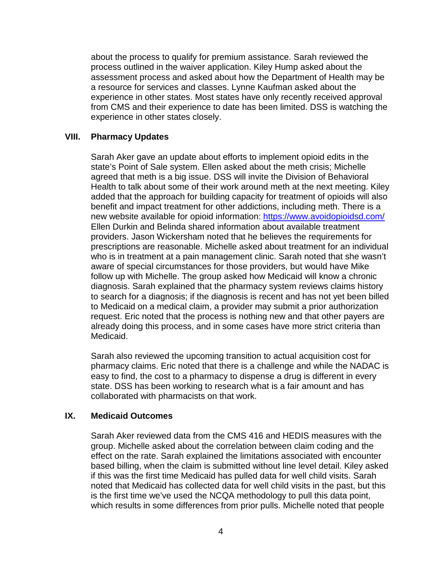about the process to qualify for premium assistance. Sarah reviewed the process outlined in the waiver application. Kiley Hump asked about the assessment process and asked about how the Department of Health may be a resource for services and classes. Lynne Kaufman asked about the experience in other states. Most states have only recently received approval from CMS and their experience to date has been limited. DSS is watching the experience in other states closely.

## **VIII. Pharmacy Updates**

Sarah Aker gave an update about efforts to implement opioid edits in the state's Point of Sale system. Ellen asked about the meth crisis; Michelle agreed that meth is a big issue. DSS will invite the Division of Behavioral Health to talk about some of their work around meth at the next meeting. Kiley added that the approach for building capacity for treatment of opioids will also benefit and impact treatment for other addictions, including meth. There is a new website available for opioid information:<https://www.avoidopioidsd.com/> Ellen Durkin and Belinda shared information about available treatment providers. Jason Wickersham noted that he believes the requirements for prescriptions are reasonable. Michelle asked about treatment for an individual who is in treatment at a pain management clinic. Sarah noted that she wasn't aware of special circumstances for those providers, but would have Mike follow up with Michelle. The group asked how Medicaid will know a chronic diagnosis. Sarah explained that the pharmacy system reviews claims history to search for a diagnosis; if the diagnosis is recent and has not yet been billed to Medicaid on a medical claim, a provider may submit a prior authorization request. Eric noted that the process is nothing new and that other payers are already doing this process, and in some cases have more strict criteria than Medicaid.

Sarah also reviewed the upcoming transition to actual acquisition cost for pharmacy claims. Eric noted that there is a challenge and while the NADAC is easy to find, the cost to a pharmacy to dispense a drug is different in every state. DSS has been working to research what is a fair amount and has collaborated with pharmacists on that work.

# **IX. Medicaid Outcomes**

Sarah Aker reviewed data from the CMS 416 and HEDIS measures with the group. Michelle asked about the correlation between claim coding and the effect on the rate. Sarah explained the limitations associated with encounter based billing, when the claim is submitted without line level detail. Kiley asked if this was the first time Medicaid has pulled data for well child visits. Sarah noted that Medicaid has collected data for well child visits in the past, but this is the first time we've used the NCQA methodology to pull this data point, which results in some differences from prior pulls. Michelle noted that people